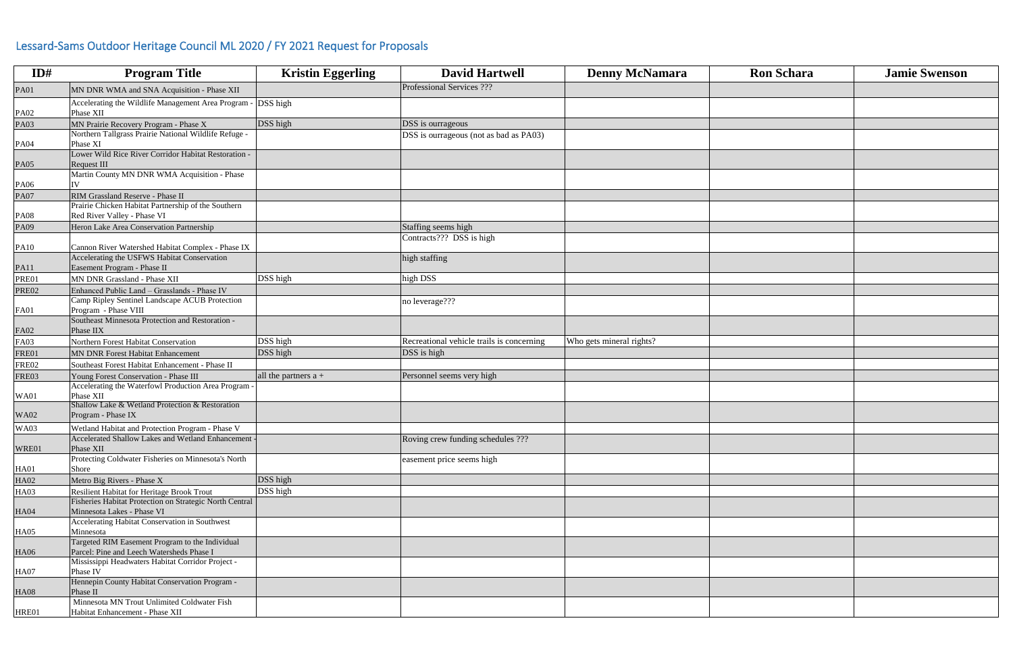| ID#          | <b>Program Title</b>                                         | <b>Kristin Eggerling</b> | <b>David Hartwell</b>                     | <b>Denny McNamara</b>    | <b>Ron Schara</b> | <b>Jamie Swenson</b> |
|--------------|--------------------------------------------------------------|--------------------------|-------------------------------------------|--------------------------|-------------------|----------------------|
| <b>PA01</b>  | MN DNR WMA and SNA Acquisition - Phase XII                   |                          | Professional Services ???                 |                          |                   |                      |
|              | Accelerating the Wildlife Management Area Program - DSS high |                          |                                           |                          |                   |                      |
| <b>PA02</b>  | Phase XII                                                    |                          |                                           |                          |                   |                      |
| <b>PA03</b>  | MN Prairie Recovery Program - Phase X                        | DSS high                 | DSS is ourrageous                         |                          |                   |                      |
|              | Northern Tallgrass Prairie National Wildlife Refuge -        |                          | DSS is ourrageous (not as bad as PA03)    |                          |                   |                      |
| <b>PA04</b>  | Phase XI                                                     |                          |                                           |                          |                   |                      |
|              | Lower Wild Rice River Corridor Habitat Restoration -         |                          |                                           |                          |                   |                      |
| <b>PA05</b>  | Request III<br>Martin County MN DNR WMA Acquisition - Phase  |                          |                                           |                          |                   |                      |
|              |                                                              |                          |                                           |                          |                   |                      |
| <b>PA06</b>  | RIM Grassland Reserve - Phase II                             |                          |                                           |                          |                   |                      |
| <b>PA07</b>  | Prairie Chicken Habitat Partnership of the Southern          |                          |                                           |                          |                   |                      |
| <b>PA08</b>  | Red River Valley - Phase VI                                  |                          |                                           |                          |                   |                      |
| PA09         | Heron Lake Area Conservation Partnership                     |                          | Staffing seems high                       |                          |                   |                      |
|              |                                                              |                          | Contracts??? DSS is high                  |                          |                   |                      |
| PA10         | Cannon River Watershed Habitat Complex - Phase IX            |                          |                                           |                          |                   |                      |
|              | Accelerating the USFWS Habitat Conservation                  |                          | high staffing                             |                          |                   |                      |
| PA11         | Easement Program - Phase II                                  |                          |                                           |                          |                   |                      |
| PRE01        | MN DNR Grassland - Phase XII                                 | DSS high                 | high DSS                                  |                          |                   |                      |
| <b>PRE02</b> | Enhanced Public Land - Grasslands - Phase IV                 |                          |                                           |                          |                   |                      |
|              | Camp Ripley Sentinel Landscape ACUB Protection               |                          | no leverage???                            |                          |                   |                      |
| FA01         | Program - Phase VIII                                         |                          |                                           |                          |                   |                      |
|              | Southeast Minnesota Protection and Restoration -             |                          |                                           |                          |                   |                      |
| <b>FA02</b>  | Phase IIX                                                    |                          |                                           |                          |                   |                      |
| <b>FA03</b>  | Northern Forest Habitat Conservation                         | DSS high                 | Recreational vehicle trails is concerning | Who gets mineral rights? |                   |                      |
| FRE01        | MN DNR Forest Habitat Enhancement                            | DSS high                 | DSS is high                               |                          |                   |                      |
| <b>FRE02</b> | Southeast Forest Habitat Enhancement - Phase II              |                          |                                           |                          |                   |                      |
| FRE03        | Young Forest Conservation - Phase III                        | all the partners $a +$   | Personnel seems very high                 |                          |                   |                      |
|              | Accelerating the Waterfowl Production Area Program -         |                          |                                           |                          |                   |                      |
| <b>WA01</b>  | Phase XII                                                    |                          |                                           |                          |                   |                      |
|              | Shallow Lake & Wetland Protection & Restoration              |                          |                                           |                          |                   |                      |
| <b>WA02</b>  | Program - Phase IX                                           |                          |                                           |                          |                   |                      |
| <b>WA03</b>  | Wetland Habitat and Protection Program - Phase V             |                          |                                           |                          |                   |                      |
|              | Accelerated Shallow Lakes and Wetland Enhancement            |                          | Roving crew funding schedules ???         |                          |                   |                      |
| WRE01        | Phase XII                                                    |                          |                                           |                          |                   |                      |
|              | Protecting Coldwater Fisheries on Minnesota's North          |                          | easement price seems high                 |                          |                   |                      |
| <b>HA01</b>  | Shore                                                        |                          |                                           |                          |                   |                      |
| <b>HA02</b>  | Metro Big Rivers - Phase X                                   | DSS high                 |                                           |                          |                   |                      |
| <b>HA03</b>  | Resilient Habitat for Heritage Brook Trout                   | DSS high                 |                                           |                          |                   |                      |
|              | Fisheries Habitat Protection on Strategic North Central      |                          |                                           |                          |                   |                      |
| <b>HA04</b>  | Minnesota Lakes - Phase VI                                   |                          |                                           |                          |                   |                      |
|              | Accelerating Habitat Conservation in Southwest               |                          |                                           |                          |                   |                      |
| HA05         | Minnesota                                                    |                          |                                           |                          |                   |                      |
|              | Targeted RIM Easement Program to the Individual              |                          |                                           |                          |                   |                      |
| HA06         | Parcel: Pine and Leech Watersheds Phase I                    |                          |                                           |                          |                   |                      |
|              | Mississippi Headwaters Habitat Corridor Project -            |                          |                                           |                          |                   |                      |
| <b>HA07</b>  | Phase IV                                                     |                          |                                           |                          |                   |                      |
|              | Hennepin County Habitat Conservation Program -               |                          |                                           |                          |                   |                      |
| <b>HA08</b>  | Phase II                                                     |                          |                                           |                          |                   |                      |
|              | Minnesota MN Trout Unlimited Coldwater Fish                  |                          |                                           |                          |                   |                      |
| HRE01        | Habitat Enhancement - Phase XII                              |                          |                                           |                          |                   |                      |

| Ron Schara | <b>Jamie Swenson</b> |  |  |  |
|------------|----------------------|--|--|--|
|            |                      |  |  |  |
|            |                      |  |  |  |
|            |                      |  |  |  |
|            |                      |  |  |  |
|            |                      |  |  |  |
|            |                      |  |  |  |
|            |                      |  |  |  |
|            |                      |  |  |  |
|            |                      |  |  |  |
|            |                      |  |  |  |
|            |                      |  |  |  |
|            |                      |  |  |  |
|            |                      |  |  |  |
|            |                      |  |  |  |
|            |                      |  |  |  |
|            |                      |  |  |  |
|            |                      |  |  |  |
|            |                      |  |  |  |
|            |                      |  |  |  |
|            |                      |  |  |  |
|            |                      |  |  |  |
|            |                      |  |  |  |
|            |                      |  |  |  |
|            |                      |  |  |  |
|            |                      |  |  |  |
|            |                      |  |  |  |
|            |                      |  |  |  |
|            |                      |  |  |  |
|            |                      |  |  |  |
|            |                      |  |  |  |
|            |                      |  |  |  |
|            |                      |  |  |  |
|            |                      |  |  |  |
|            |                      |  |  |  |
|            |                      |  |  |  |

## Lessard-Sams Outdoor Heritage Council ML 2020 / FY 2021 Request for Proposals